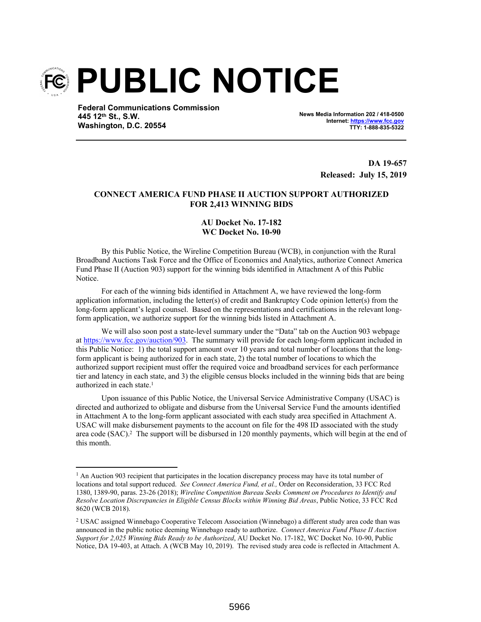

**Federal Communications Commission 445 12th St., S.W. Washington, D.C. 20554**

**News Media Information 202 / 418-0500 Internet: https://www.fcc.gov TTY: 1-888-835-5322**

> **DA 19-657 Released: July 15, 2019**

## **CONNECT AMERICA FUND PHASE II AUCTION SUPPORT AUTHORIZED FOR 2,413 WINNING BIDS**

## **AU Docket No. 17-182 WC Docket No. 10-90**

By this Public Notice, the Wireline Competition Bureau (WCB), in conjunction with the Rural Broadband Auctions Task Force and the Office of Economics and Analytics, authorize Connect America Fund Phase II (Auction 903) support for the winning bids identified in Attachment A of this Public Notice.

For each of the winning bids identified in Attachment A, we have reviewed the long-form application information, including the letter(s) of credit and Bankruptcy Code opinion letter(s) from the long-form applicant's legal counsel. Based on the representations and certifications in the relevant longform application, we authorize support for the winning bids listed in Attachment A.

We will also soon post a state-level summary under the "Data" tab on the Auction 903 webpage at https://www.fcc.gov/auction/903. The summary will provide for each long-form applicant included in this Public Notice: 1) the total support amount over 10 years and total number of locations that the longform applicant is being authorized for in each state, 2) the total number of locations to which the authorized support recipient must offer the required voice and broadband services for each performance tier and latency in each state, and 3) the eligible census blocks included in the winning bids that are being authorized in each state.<sup>1</sup>

Upon issuance of this Public Notice, the Universal Service Administrative Company (USAC) is directed and authorized to obligate and disburse from the Universal Service Fund the amounts identified in Attachment A to the long-form applicant associated with each study area specified in Attachment A. USAC will make disbursement payments to the account on file for the 498 ID associated with the study area code (SAC).<sup>2</sup> The support will be disbursed in 120 monthly payments, which will begin at the end of this month.

<sup>&</sup>lt;sup>1</sup> An Auction 903 recipient that participates in the location discrepancy process may have its total number of locations and total support reduced. *See Connect America Fund, et al.,* Order on Reconsideration, 33 FCC Rcd 1380, 1389-90, paras. 23-26 (2018); *Wireline Competition Bureau Seeks Comment on Procedures to Identify and Resolve Location Discrepancies in Eligible Census Blocks within Winning Bid Areas*, Public Notice, 33 FCC Rcd 8620 (WCB 2018).

<sup>&</sup>lt;sup>2</sup> USAC assigned Winnebago Cooperative Telecom Association (Winnebago) a different study area code than was announced in the public notice deeming Winnebago ready to authorize. *Connect America Fund Phase II Auction Support for 2,025 Winning Bids Ready to be Authorized*, AU Docket No. 17-182, WC Docket No. 10-90, Public Notice, DA 19-403, at Attach. A (WCB May 10, 2019). The revised study area code is reflected in Attachment A.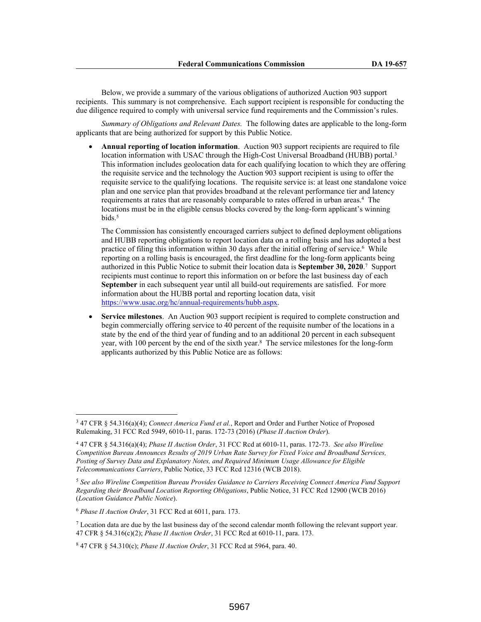Below, we provide a summary of the various obligations of authorized Auction 903 support recipients. This summary is not comprehensive. Each support recipient is responsible for conducting the due diligence required to comply with universal service fund requirements and the Commission's rules.

*Summary of Obligations and Relevant Dates.* The following dates are applicable to the long-form applicants that are being authorized for support by this Public Notice.

 **Annual reporting of location information**. Auction 903 support recipients are required to file location information with USAC through the High-Cost Universal Broadband (HUBB) portal.<sup>3</sup> This information includes geolocation data for each qualifying location to which they are offering the requisite service and the technology the Auction 903 support recipient is using to offer the requisite service to the qualifying locations. The requisite service is: at least one standalone voice plan and one service plan that provides broadband at the relevant performance tier and latency requirements at rates that are reasonably comparable to rates offered in urban areas.<sup>4</sup> The locations must be in the eligible census blocks covered by the long-form applicant's winning bids.<sup>5</sup>

The Commission has consistently encouraged carriers subject to defined deployment obligations and HUBB reporting obligations to report location data on a rolling basis and has adopted a best practice of filing this information within 30 days after the initial offering of service.<sup>6</sup> While reporting on a rolling basis is encouraged, the first deadline for the long-form applicants being authorized in this Public Notice to submit their location data is **September 30, 2020**. 7 Support recipients must continue to report this information on or before the last business day of each September in each subsequent year until all build-out requirements are satisfied. For more information about the HUBB portal and reporting location data, visit https://www.usac.org/hc/annual-requirements/hubb.aspx.

 **Service milestones**. An Auction 903 support recipient is required to complete construction and begin commercially offering service to 40 percent of the requisite number of the locations in a state by the end of the third year of funding and to an additional 20 percent in each subsequent year, with 100 percent by the end of the sixth year.<sup>8</sup> The service milestones for the long-form applicants authorized by this Public Notice are as follows:

<sup>3</sup> 47 CFR § 54.316(a)(4); *Connect America Fund et al.*, Report and Order and Further Notice of Proposed Rulemaking, 31 FCC Rcd 5949, 6010-11, paras. 172-73 (2016) (*Phase II Auction Order*).

<sup>4</sup> 47 CFR § 54.316(a)(4); *Phase II Auction Order*, 31 FCC Rcd at 6010-11, paras. 172-73. *See also Wireline Competition Bureau Announces Results of 2019 Urban Rate Survey for Fixed Voice and Broadband Services, Posting of Survey Data and Explanatory Notes, and Required Minimum Usage Allowance for Eligible Telecommunications Carriers*, Public Notice, 33 FCC Rcd 12316 (WCB 2018).

<sup>5</sup> *See also Wireline Competition Bureau Provides Guidance to Carriers Receiving Connect America Fund Support Regarding their Broadband Location Reporting Obligations*, Public Notice, 31 FCC Rcd 12900 (WCB 2016) (*Location Guidance Public Notice*).

<sup>6</sup> *Phase II Auction Order*, 31 FCC Rcd at 6011, para. 173.

 $7$  Location data are due by the last business day of the second calendar month following the relevant support year. 47 CFR § 54.316(c)(2); *Phase II Auction Order*, 31 FCC Rcd at 6010-11, para. 173.

<sup>8</sup> 47 CFR § 54.310(c); *Phase II Auction Order*, 31 FCC Rcd at 5964, para. 40.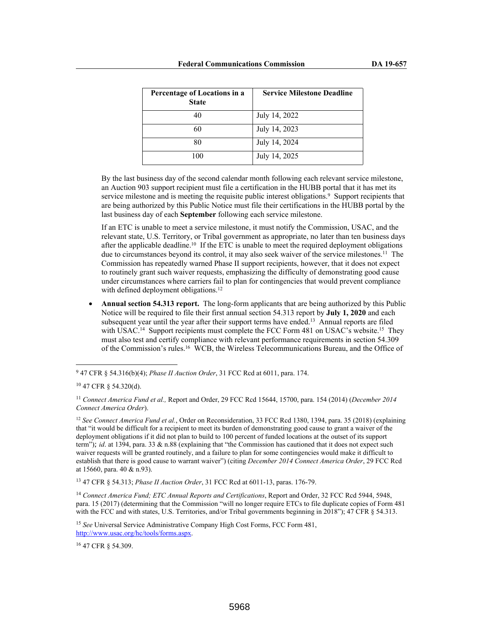| Percentage of Locations in a<br><b>State</b> | <b>Service Milestone Deadline</b> |
|----------------------------------------------|-----------------------------------|
| 40                                           | July 14, 2022                     |
| 60                                           | July 14, 2023                     |
| 80                                           | July 14, 2024                     |
| 100                                          | July 14, 2025                     |

By the last business day of the second calendar month following each relevant service milestone, an Auction 903 support recipient must file a certification in the HUBB portal that it has met its service milestone and is meeting the requisite public interest obligations.<sup>9</sup> Support recipients that are being authorized by this Public Notice must file their certifications in the HUBB portal by the last business day of each **September** following each service milestone.

If an ETC is unable to meet a service milestone, it must notify the Commission, USAC, and the relevant state, U.S. Territory, or Tribal government as appropriate, no later than ten business days after the applicable deadline.<sup>10</sup> If the ETC is unable to meet the required deployment obligations due to circumstances beyond its control, it may also seek waiver of the service milestones.<sup>11</sup> The Commission has repeatedly warned Phase II support recipients, however, that it does not expect to routinely grant such waiver requests, emphasizing the difficulty of demonstrating good cause under circumstances where carriers fail to plan for contingencies that would prevent compliance with defined deployment obligations.<sup>12</sup>

• **Annual section 54.313 report.** The long-form applicants that are being authorized by this Public Notice will be required to file their first annual section 54.313 report by **July 1, 2020** and each subsequent year until the year after their support terms have ended.<sup>13</sup> Annual reports are filed with USAC.<sup>14</sup> Support recipients must complete the FCC Form 481 on USAC's website.<sup>15</sup> They must also test and certify compliance with relevant performance requirements in section 54.309 of the Commission's rules.<sup>16</sup> WCB, the Wireless Telecommunications Bureau, and the Office of

<sup>13</sup> 47 CFR § 54.313; *Phase II Auction Order*, 31 FCC Rcd at 6011-13, paras. 176-79.

<sup>14</sup> *Connect America Fund; ETC Annual Reports and Certifications*, Report and Order, 32 FCC Rcd 5944, 5948, para. 15 (2017) (determining that the Commission "will no longer require ETCs to file duplicate copies of Form 481 with the FCC and with states, U.S. Territories, and/or Tribal governments beginning in 2018"); 47 CFR § 54.313.

<sup>16</sup> 47 CFR § 54.309.

<sup>9</sup> 47 CFR § 54.316(b)(4); *Phase II Auction Order*, 31 FCC Rcd at 6011, para. 174.

<sup>10</sup> 47 CFR § 54.320(d).

<sup>11</sup> *Connect America Fund et al.,* Report and Order, 29 FCC Rcd 15644, 15700, para. 154 (2014) (*December 2014 Connect America Order*).

<sup>12</sup> *See Connect America Fund et al.*, Order on Reconsideration, 33 FCC Rcd 1380, 1394, para. 35 (2018) (explaining that "it would be difficult for a recipient to meet its burden of demonstrating good cause to grant a waiver of the deployment obligations if it did not plan to build to 100 percent of funded locations at the outset of its support term"); *id*. at 1394, para. 33 & n.88 (explaining that "the Commission has cautioned that it does not expect such waiver requests will be granted routinely, and a failure to plan for some contingencies would make it difficult to establish that there is good cause to warrant waiver") (citing *December 2014 Connect America Order*, 29 FCC Rcd at 15660, para. 40 & n.93).

<sup>15</sup> *See* Universal Service Administrative Company High Cost Forms, FCC Form 481, http://www.usac.org/hc/tools/forms.aspx.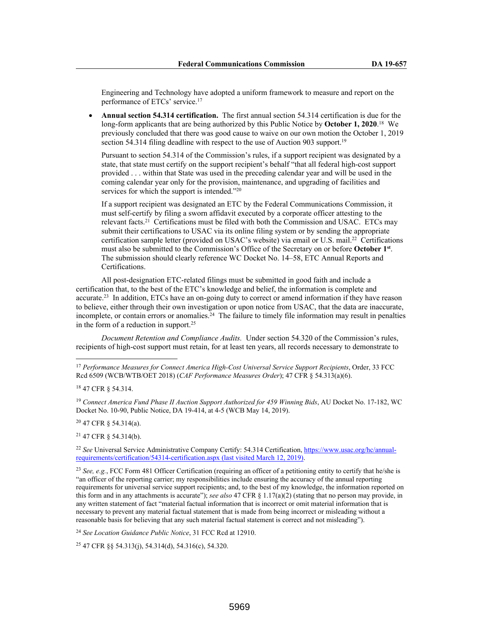Engineering and Technology have adopted a uniform framework to measure and report on the performance of ETCs' service.<sup>17</sup>

 **Annual section 54.314 certification.** The first annual section 54.314 certification is due for the long-form applicants that are being authorized by this Public Notice by **October 1, 2020**. <sup>18</sup> We previously concluded that there was good cause to waive on our own motion the October 1, 2019 section 54.314 filing deadline with respect to the use of Auction 903 support.<sup>19</sup>

Pursuant to section 54.314 of the Commission's rules, if a support recipient was designated by a state, that state must certify on the support recipient's behalf "that all federal high-cost support provided . . . within that State was used in the preceding calendar year and will be used in the coming calendar year only for the provision, maintenance, and upgrading of facilities and services for which the support is intended."20

If a support recipient was designated an ETC by the Federal Communications Commission, it must self-certify by filing a sworn affidavit executed by a corporate officer attesting to the relevant facts.<sup>21</sup> Certifications must be filed with both the Commission and USAC. ETCs may submit their certifications to USAC via its online filing system or by sending the appropriate certification sample letter (provided on USAC's website) via email or U.S. mail.<sup>22</sup> Certifications must also be submitted to the Commission's Office of the Secretary on or before **October 1st** . The submission should clearly reference WC Docket No. 14–58, ETC Annual Reports and Certifications.

All post-designation ETC-related filings must be submitted in good faith and include a certification that, to the best of the ETC's knowledge and belief, the information is complete and accurate.<sup>23</sup> In addition, ETCs have an on-going duty to correct or amend information if they have reason to believe, either through their own investigation or upon notice from USAC, that the data are inaccurate, incomplete, or contain errors or anomalies.<sup>24</sup> The failure to timely file information may result in penalties in the form of a reduction in support.<sup>25</sup>

*Document Retention and Compliance Audits.* Under section 54.320 of the Commission's rules, recipients of high-cost support must retain, for at least ten years, all records necessary to demonstrate to

<sup>20</sup> 47 CFR § 54.314(a).

<sup>21</sup> 47 CFR § 54.314(b).

<sup>22</sup> *See* Universal Service Administrative Company Certify: 54.314 Certification, https://www.usac.org/hc/annualrequirements/certification/54314-certification.aspx (last visited March 12, 2019).

<sup>23</sup> See, e.g., FCC Form 481 Officer Certification (requiring an officer of a petitioning entity to certify that he/she is "an officer of the reporting carrier; my responsibilities include ensuring the accuracy of the annual reporting requirements for universal service support recipients; and, to the best of my knowledge, the information reported on this form and in any attachments is accurate"); *see also* 47 CFR § 1.17(a)(2) (stating that no person may provide, in any written statement of fact "material factual information that is incorrect or omit material information that is necessary to prevent any material factual statement that is made from being incorrect or misleading without a reasonable basis for believing that any such material factual statement is correct and not misleading").

<sup>24</sup> *See Location Guidance Public Notice*, 31 FCC Rcd at 12910.

<sup>25</sup> 47 CFR §§ 54.313(j), 54.314(d), 54.316(c), 54.320.

<sup>17</sup> *Performance Measures for Connect America High-Cost Universal Service Support Recipients*, Order, 33 FCC Rcd 6509 (WCB/WTB/OET 2018) (*CAF Performance Measures Order*); 47 CFR § 54.313(a)(6).

<sup>18</sup> 47 CFR § 54.314.

<sup>19</sup> *Connect America Fund Phase II Auction Support Authorized for 459 Winning Bids*, AU Docket No. 17-182, WC Docket No. 10-90, Public Notice, DA 19-414, at 4-5 (WCB May 14, 2019).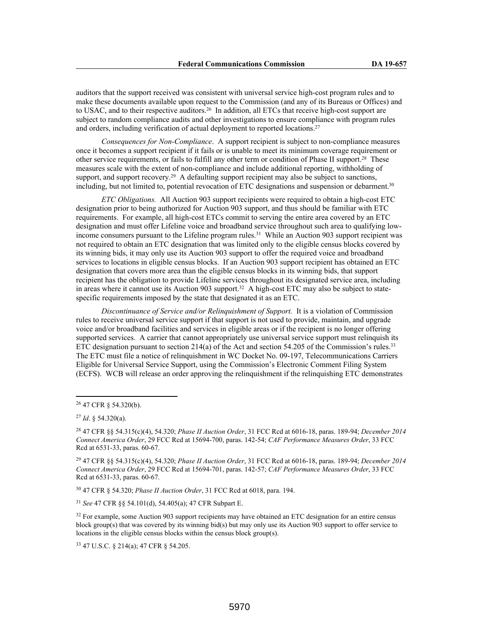auditors that the support received was consistent with universal service high-cost program rules and to make these documents available upon request to the Commission (and any of its Bureaus or Offices) and to USAC, and to their respective auditors.<sup>26</sup> In addition, all ETCs that receive high-cost support are subject to random compliance audits and other investigations to ensure compliance with program rules and orders, including verification of actual deployment to reported locations.<sup>27</sup>

*Consequences for Non-Compliance*. A support recipient is subject to non-compliance measures once it becomes a support recipient if it fails or is unable to meet its minimum coverage requirement or other service requirements, or fails to fulfill any other term or condition of Phase II support.<sup>28</sup> These measures scale with the extent of non-compliance and include additional reporting, withholding of support, and support recovery.<sup>29</sup> A defaulting support recipient may also be subject to sanctions, including, but not limited to, potential revocation of ETC designations and suspension or debarment.<sup>30</sup>

*ETC Obligations.* All Auction 903 support recipients were required to obtain a high-cost ETC designation prior to being authorized for Auction 903 support, and thus should be familiar with ETC requirements. For example, all high-cost ETCs commit to serving the entire area covered by an ETC designation and must offer Lifeline voice and broadband service throughout such area to qualifying lowincome consumers pursuant to the Lifeline program rules.<sup>31</sup> While an Auction 903 support recipient was not required to obtain an ETC designation that was limited only to the eligible census blocks covered by its winning bids, it may only use its Auction 903 support to offer the required voice and broadband services to locations in eligible census blocks. If an Auction 903 support recipient has obtained an ETC designation that covers more area than the eligible census blocks in its winning bids, that support recipient has the obligation to provide Lifeline services throughout its designated service area, including in areas where it cannot use its Auction 903 support.<sup>32</sup> A high-cost ETC may also be subject to statespecific requirements imposed by the state that designated it as an ETC.

*Discontinuance of Service and/or Relinquishment of Support.* It is a violation of Commission rules to receive universal service support if that support is not used to provide, maintain, and upgrade voice and/or broadband facilities and services in eligible areas or if the recipient is no longer offering supported services. A carrier that cannot appropriately use universal service support must relinquish its ETC designation pursuant to section  $214(a)$  of the Act and section 54.205 of the Commission's rules.<sup>33</sup> The ETC must file a notice of relinquishment in WC Docket No. 09-197, Telecommunications Carriers Eligible for Universal Service Support, using the Commission's Electronic Comment Filing System (ECFS). WCB will release an order approving the relinquishment if the relinquishing ETC demonstrates

<sup>29</sup> 47 CFR §§ 54.315(c)(4), 54.320; *Phase II Auction Order*, 31 FCC Rcd at 6016-18, paras. 189-94; *December 2014 Connect America Order*, 29 FCC Rcd at 15694-701, paras. 142-57; *CAF Performance Measures Order*, 33 FCC Rcd at 6531-33, paras. 60-67.

<sup>30</sup> 47 CFR § 54.320; *Phase II Auction Order*, 31 FCC Rcd at 6018, para. 194.

<sup>31</sup> *See* 47 CFR §§ 54.101(d), 54.405(a); 47 CFR Subpart E.

<sup>32</sup> For example, some Auction 903 support recipients may have obtained an ETC designation for an entire census block group(s) that was covered by its winning bid(s) but may only use its Auction 903 support to offer service to locations in the eligible census blocks within the census block group(s).

<sup>33</sup> 47 U.S.C. § 214(a); 47 CFR § 54.205.

<sup>26</sup> 47 CFR § 54.320(b).

<sup>27</sup> *Id*. § 54.320(a).

<sup>28</sup> 47 CFR §§ 54.315(c)(4), 54.320; *Phase II Auction Order*, 31 FCC Rcd at 6016-18, paras. 189-94; *December 2014 Connect America Order*, 29 FCC Rcd at 15694-700, paras. 142-54; *CAF Performance Measures Order*, 33 FCC Rcd at 6531-33, paras. 60-67.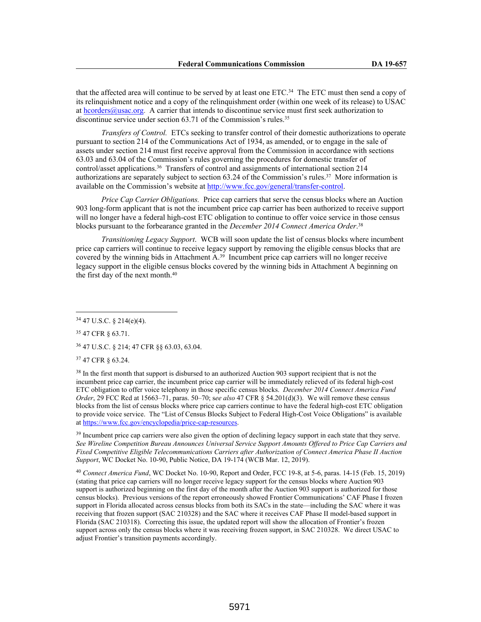that the affected area will continue to be served by at least one ETC.<sup>34</sup> The ETC must then send a copy of its relinquishment notice and a copy of the relinquishment order (within one week of its release) to USAC at hcorders@usac.org. A carrier that intends to discontinue service must first seek authorization to discontinue service under section 63.71 of the Commission's rules.<sup>35</sup>

*Transfers of Control.* ETCs seeking to transfer control of their domestic authorizations to operate pursuant to section 214 of the Communications Act of 1934, as amended, or to engage in the sale of assets under section 214 must first receive approval from the Commission in accordance with sections 63.03 and 63.04 of the Commission's rules governing the procedures for domestic transfer of control/asset applications.<sup>36</sup> Transfers of control and assignments of international section 214 authorizations are separately subject to section 63.24 of the Commission's rules.<sup>37</sup> More information is available on the Commission's website at http://www.fcc.gov/general/transfer-control.

*Price Cap Carrier Obligations.* Price cap carriers that serve the census blocks where an Auction 903 long-form applicant that is not the incumbent price cap carrier has been authorized to receive support will no longer have a federal high-cost ETC obligation to continue to offer voice service in those census blocks pursuant to the forbearance granted in the *December 2014 Connect America Order*. 38

*Transitioning Legacy Support*. WCB will soon update the list of census blocks where incumbent price cap carriers will continue to receive legacy support by removing the eligible census blocks that are covered by the winning bids in Attachment A.<sup>39</sup> Incumbent price cap carriers will no longer receive legacy support in the eligible census blocks covered by the winning bids in Attachment A beginning on the first day of the next month.<sup>40</sup>

<sup>35</sup> 47 CFR § 63.71.

<sup>36</sup> 47 U.S.C. § 214; 47 CFR §§ 63.03, 63.04.

<sup>37</sup> 47 CFR § 63.24.

<sup>38</sup> In the first month that support is disbursed to an authorized Auction 903 support recipient that is not the incumbent price cap carrier, the incumbent price cap carrier will be immediately relieved of its federal high-cost ETC obligation to offer voice telephony in those specific census blocks. *December 2014 Connect America Fund Order*, 29 FCC Rcd at 15663–71, paras. 50–70; see also 47 CFR § 54.201(d)(3). We will remove these census blocks from the list of census blocks where price cap carriers continue to have the federal high-cost ETC obligation to provide voice service. The "List of Census Blocks Subject to Federal High-Cost Voice Obligations" is available at https://www.fcc.gov/encyclopedia/price-cap-resources.

<sup>39</sup> Incumbent price cap carriers were also given the option of declining legacy support in each state that they serve. *See Wireline Competition Bureau Announces Universal Service Support Amounts Offered to Price Cap Carriers and Fixed Competitive Eligible Telecommunications Carriers after Authorization of Connect America Phase II Auction Support*, WC Docket No. 10-90, Public Notice, DA 19-174 (WCB Mar. 12, 2019).

<sup>40</sup> *Connect America Fund*, WC Docket No. 10-90, Report and Order, FCC 19-8, at 5-6, paras. 14-15 (Feb. 15, 2019) (stating that price cap carriers will no longer receive legacy support for the census blocks where Auction 903 support is authorized beginning on the first day of the month after the Auction 903 support is authorized for those census blocks). Previous versions of the report erroneously showed Frontier Communications' CAF Phase I frozen support in Florida allocated across census blocks from both its SACs in the state—including the SAC where it was receiving that frozen support (SAC 210328) and the SAC where it receives CAF Phase II model-based support in Florida (SAC 210318). Correcting this issue, the updated report will show the allocation of Frontier's frozen support across only the census blocks where it was receiving frozen support, in SAC 210328. We direct USAC to adjust Frontier's transition payments accordingly.

<sup>34</sup> 47 U.S.C. § 214(e)(4).